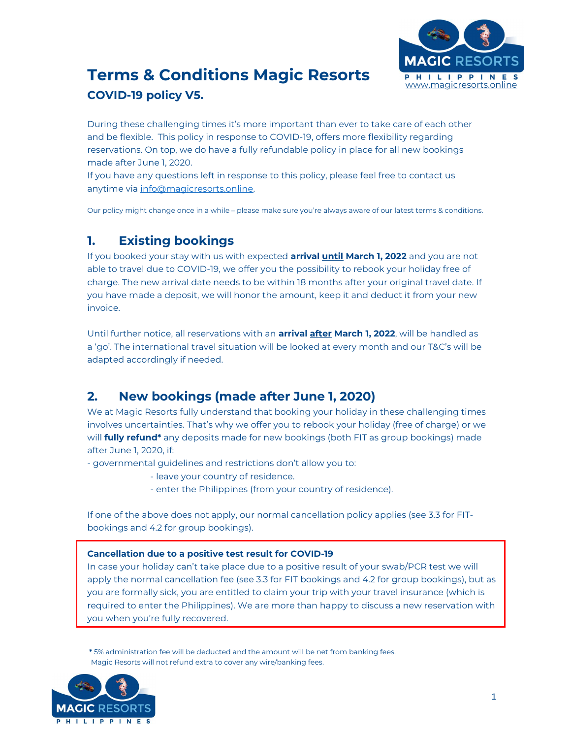

# Terms & Conditions Magic Resorts PHILIPPINES COVID-19 policy V5.

During these challenging times it's more important than ever to take care of each other and be flexible. This policy in response to COVID-19, offers more flexibility regarding reservations. On top, we do have a fully refundable policy in place for all new bookings made after June 1, 2020.

If you have any questions left in response to this policy, please feel free to contact us anytime via info@magicresorts.online.

Our policy might change once in a while – please make sure you're always aware of our latest terms & conditions.

## 1. Existing bookings

If you booked your stay with us with expected **arrival until March 1, 2022** and you are not able to travel due to COVID-19, we offer you the possibility to rebook your holiday free of charge. The new arrival date needs to be within 18 months after your original travel date. If you have made a deposit, we will honor the amount, keep it and deduct it from your new invoice.

Until further notice, all reservations with an **arrival after March 1, 2022**, will be handled as a 'go'. The international travel situation will be looked at every month and our T&C's will be adapted accordingly if needed.

## 2. New bookings (made after June 1, 2020)

We at Magic Resorts fully understand that booking your holiday in these challenging times involves uncertainties. That's why we offer you to rebook your holiday (free of charge) or we will **fully refund\*** any deposits made for new bookings (both FIT as group bookings) made after June 1, 2020, if:

- governmental guidelines and restrictions don't allow you to:

- leave your country of residence.
- enter the Philippines (from your country of residence).

If one of the above does not apply, our normal cancellation policy applies (see 3.3 for FITbookings and 4.2 for group bookings).

#### Cancellation due to a positive test result for COVID-19

In case your holiday can't take place due to a positive result of your swab/PCR test we will apply the normal cancellation fee (see 3.3 for FIT bookings and 4.2 for group bookings), but as you are formally sick, you are entitled to claim your trip with your travel insurance (which is required to enter the Philippines). We are more than happy to discuss a new reservation with you when you're fully recovered.

\* 5% administration fee will be deducted and the amount will be net from banking fees. Magic Resorts will not refund extra to cover any wire/banking fees.

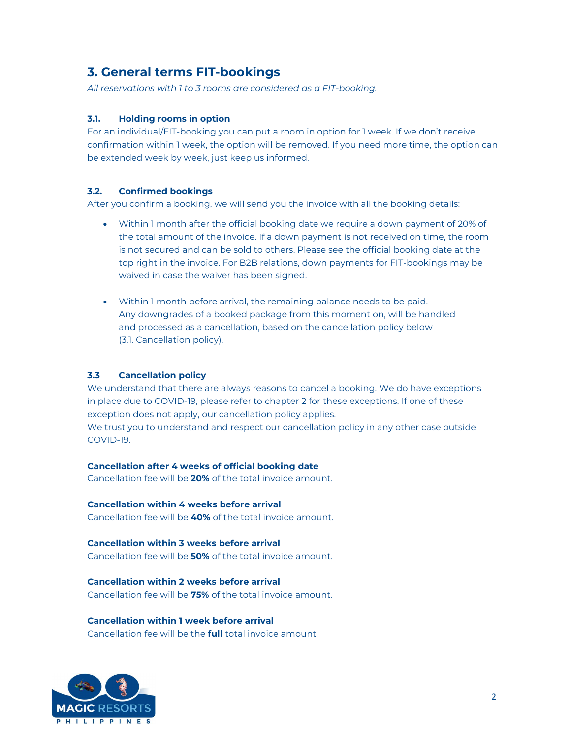## 3. General terms FIT-bookings

All reservations with 1 to 3 rooms are considered as a FIT-booking.

#### 3.1. Holding rooms in option

For an individual/FIT-booking you can put a room in option for 1 week. If we don't receive confirmation within 1 week, the option will be removed. If you need more time, the option can be extended week by week, just keep us informed.

#### 3.2. Confirmed bookings

After you confirm a booking, we will send you the invoice with all the booking details:

- Within 1 month after the official booking date we require a down payment of 20% of the total amount of the invoice. If a down payment is not received on time, the room is not secured and can be sold to others. Please see the official booking date at the top right in the invoice. For B2B relations, down payments for FIT-bookings may be waived in case the waiver has been signed.
- Within 1 month before arrival, the remaining balance needs to be paid. Any downgrades of a booked package from this moment on, will be handled and processed as a cancellation, based on the cancellation policy below (3.1. Cancellation policy).

#### 3.3 Cancellation policy

We understand that there are always reasons to cancel a booking. We do have exceptions in place due to COVID-19, please refer to chapter 2 for these exceptions. If one of these exception does not apply, our cancellation policy applies. We trust you to understand and respect our cancellation policy in any other case outside COVID-19.

#### Cancellation after 4 weeks of official booking date

Cancellation fee will be 20% of the total invoice amount.

Cancellation within 4 weeks before arrival Cancellation fee will be 40% of the total invoice amount.

Cancellation within 3 weeks before arrival Cancellation fee will be 50% of the total invoice amount.

Cancellation within 2 weeks before arrival Cancellation fee will be **75%** of the total invoice amount.

Cancellation within 1 week before arrival Cancellation fee will be the full total invoice amount.

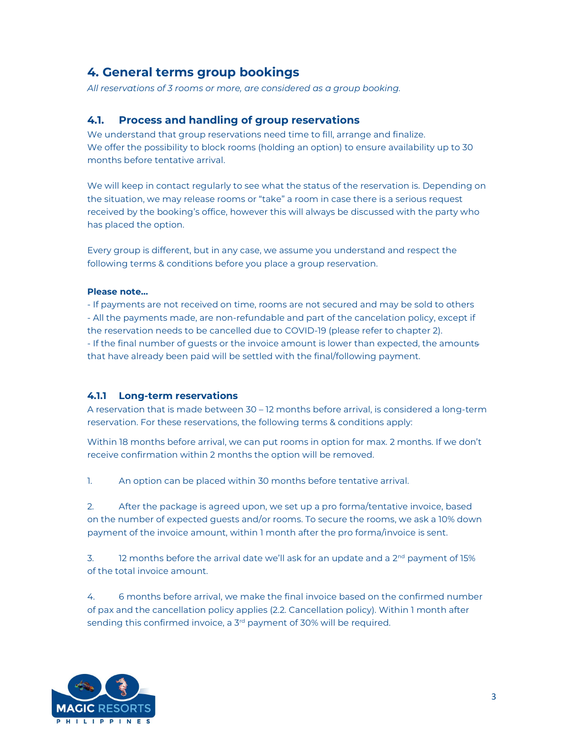### 4. General terms group bookings

All reservations of 3 rooms or more, are considered as a group booking.

#### 4.1. Process and handling of group reservations

We understand that group reservations need time to fill, arrange and finalize. We offer the possibility to block rooms (holding an option) to ensure availability up to 30 months before tentative arrival.

We will keep in contact regularly to see what the status of the reservation is. Depending on the situation, we may release rooms or "take" a room in case there is a serious request received by the booking's office, however this will always be discussed with the party who has placed the option.

Every group is different, but in any case, we assume you understand and respect the following terms & conditions before you place a group reservation.

#### Please note…

- If payments are not received on time, rooms are not secured and may be sold to others - All the payments made, are non-refundable and part of the cancelation policy, except if the reservation needs to be cancelled due to COVID-19 (please refer to chapter 2). - If the final number of guests or the invoice amount is lower than expected, the amounts that have already been paid will be settled with the final/following payment.

#### 4.1.1 Long-term reservations

A reservation that is made between 30 – 12 months before arrival, is considered a long-term reservation. For these reservations, the following terms & conditions apply:

Within 18 months before arrival, we can put rooms in option for max. 2 months. If we don't receive confirmation within 2 months the option will be removed.

1. An option can be placed within 30 months before tentative arrival.

2. After the package is agreed upon, we set up a pro forma/tentative invoice, based on the number of expected guests and/or rooms. To secure the rooms, we ask a 10% down payment of the invoice amount, within 1 month after the pro forma/invoice is sent.

3. 12 months before the arrival date we'll ask for an update and a  $2^{nd}$  payment of 15% of the total invoice amount.

4. 6 months before arrival, we make the final invoice based on the confirmed number of pax and the cancellation policy applies (2.2. Cancellation policy). Within 1 month after sending this confirmed invoice, a 3<sup>rd</sup> payment of 30% will be required.

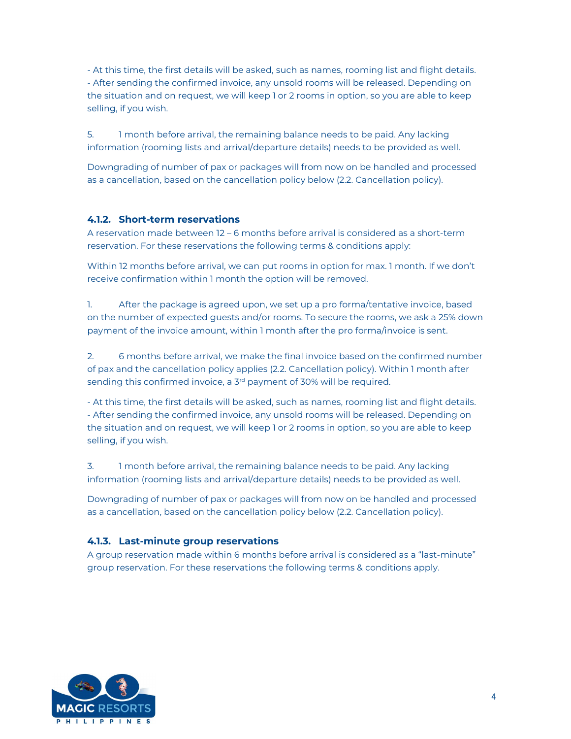- At this time, the first details will be asked, such as names, rooming list and flight details. - After sending the confirmed invoice, any unsold rooms will be released. Depending on the situation and on request, we will keep 1 or 2 rooms in option, so you are able to keep selling, if you wish.

5. 1 month before arrival, the remaining balance needs to be paid. Any lacking information (rooming lists and arrival/departure details) needs to be provided as well.

Downgrading of number of pax or packages will from now on be handled and processed as a cancellation, based on the cancellation policy below (2.2. Cancellation policy).

#### 4.1.2. Short-term reservations

A reservation made between 12 – 6 months before arrival is considered as a short-term reservation. For these reservations the following terms & conditions apply:

Within 12 months before arrival, we can put rooms in option for max. 1 month. If we don't receive confirmation within 1 month the option will be removed.

1. After the package is agreed upon, we set up a pro forma/tentative invoice, based on the number of expected guests and/or rooms. To secure the rooms, we ask a 25% down payment of the invoice amount, within 1 month after the pro forma/invoice is sent.

2. 6 months before arrival, we make the final invoice based on the confirmed number of pax and the cancellation policy applies (2.2. Cancellation policy). Within 1 month after sending this confirmed invoice, a  $3<sup>rd</sup>$  payment of 30% will be required.

- At this time, the first details will be asked, such as names, rooming list and flight details. - After sending the confirmed invoice, any unsold rooms will be released. Depending on the situation and on request, we will keep 1 or 2 rooms in option, so you are able to keep selling, if you wish.

3. 1 month before arrival, the remaining balance needs to be paid. Any lacking information (rooming lists and arrival/departure details) needs to be provided as well.

Downgrading of number of pax or packages will from now on be handled and processed as a cancellation, based on the cancellation policy below (2.2. Cancellation policy).

#### 4.1.3. Last-minute group reservations

A group reservation made within 6 months before arrival is considered as a "last-minute" group reservation. For these reservations the following terms & conditions apply.